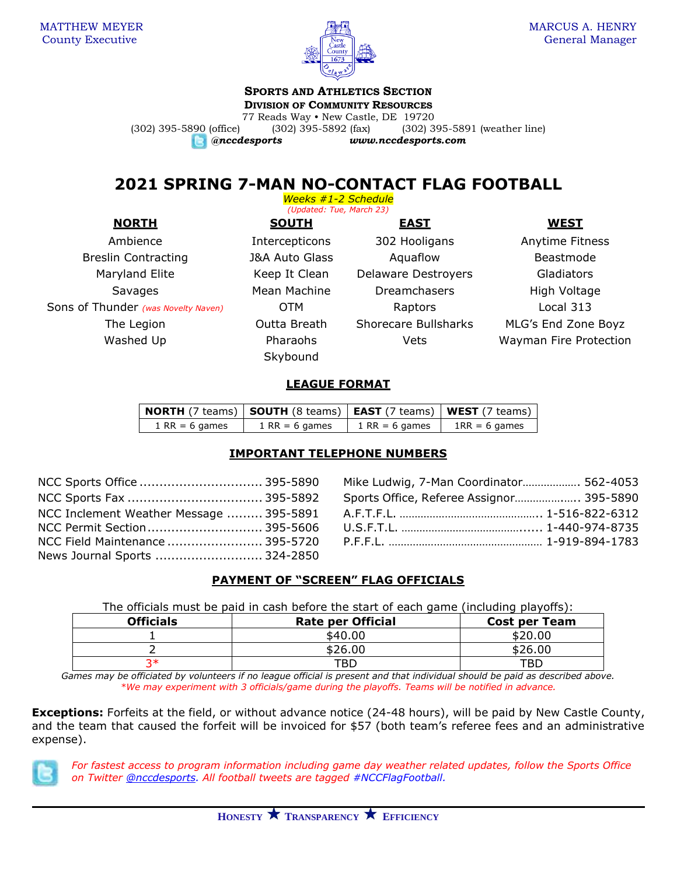

## **SPORTS AND ATHLETICS SECTION**

**DIVISION OF COMMUNITY RESOURCES**

77 Reads Way • New Castle, DE 19720 (302) 395-5890 (office) (302) 395-5892 (fax) (302) 395-5891 (weather line)

*@nccdesports www.nccdesports.com*

# **2021 SPRING 7-MAN NO-CONTACT FLAG FOOTBALL**

*Weeks #1-2 Schedule (Updated: Tue, March 23)*

Breslin Contracting Tangle and J&A Auto Glass Aquaflow Beastmode Maryland Elite **Keep It Clean** Delaware Destroyers Gladiators Sons of Thunder *(was Novelty Naven)* **OTM** Raptors Raptors Local 313

**NORTH SOUTH EAST WEST** Skybound

Ambience The Intercepticons 302 Hooligans Anytime Fitness Savages Mean Machine Dreamchasers High Voltage

The Legion Outta Breath Shorecare Bullsharks MLG's End Zone Boyz Washed Up **Pharaohs** Wets Wayman Fire Protection

## **LEAGUE FORMAT**

| $\mid$ NORTH (7 teams) $\mid$ SOUTH (8 teams) $\mid$ EAST (7 teams) $\mid$ WEST (7 teams) $\mid$ |                  |                  |                 |
|--------------------------------------------------------------------------------------------------|------------------|------------------|-----------------|
| $1$ RR = 6 games                                                                                 | $1$ RR = 6 games | $1$ RR = 6 games | $1RR = 6$ games |

## **IMPORTANT TELEPHONE NUMBERS**

| NCC Inclement Weather Message  395-5891 |
|-----------------------------------------|
|                                         |
| NCC Field Maintenance  395-5720         |
| News Journal Sports  324-2850           |
|                                         |

Mike Ludwig, 7-Man Coordinator..................... 562-4053 Sports Office, Referee Assignor...................... 395-5890 NCC Inclement Weather Message ......... 395-5891 A.F.T.F.L. ……………………………………….. 1-516-822-6312 U.S.F.T.L. ………………………………………… 1-440-974-8735 P.F.F.L. …………………………………………… 1-919-894-1783

## **PAYMENT OF "SCREEN" FLAG OFFICIALS**

The officials must be paid in cash before the start of each game (including playoffs):

| <b>Officials</b> | <b>Rate per Official</b> | <b>Cost per Team</b> |
|------------------|--------------------------|----------------------|
|                  | \$40.00                  | \$20.00              |
|                  | \$26.00                  | \$26.00              |
| ?∗               | TBD                      | TBD                  |

*Games may be officiated by volunteers if no league official is present and that individual should be paid as described above. \*We may experiment with 3 officials/game during the playoffs. Teams will be notified in advance.*

**Exceptions:** Forfeits at the field, or without advance notice (24-48 hours), will be paid by New Castle County, and the team that caused the forfeit will be invoiced for \$57 (both team's referee fees and an administrative expense).



*For fastest access to program information including game day weather related updates, follow the Sports Office on Twitter [@nccdesports.](http://www.twitter.com/nccdesports) All football tweets are tagged #NCCFlagFootball.*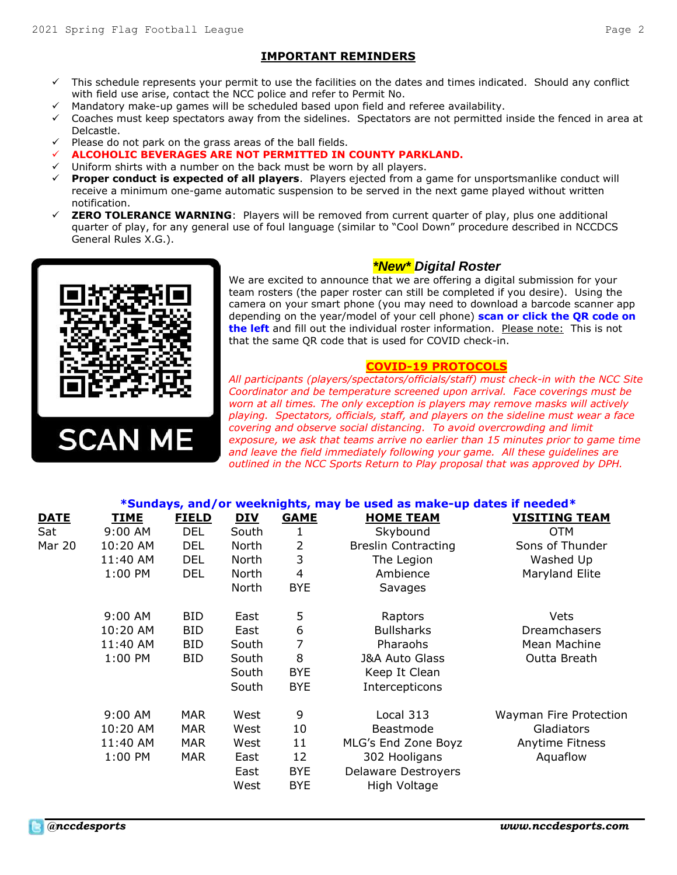#### **IMPORTANT REMINDERS**

- ✓ This schedule represents your permit to use the facilities on the dates and times indicated. Should any conflict with field use arise, contact the NCC police and refer to Permit No.
- Mandatory make-up games will be scheduled based upon field and referee availability.
- ✓ Coaches must keep spectators away from the sidelines. Spectators are not permitted inside the fenced in area at Delcastle.
- Please do not park on the grass areas of the ball fields.
- ✓ **ALCOHOLIC BEVERAGES ARE NOT PERMITTED IN COUNTY PARKLAND.**
- Uniform shirts with a number on the back must be worn by all players.
- **Proper conduct is expected of all players**. Players ejected from a game for unsportsmanlike conduct will receive a minimum one-game automatic suspension to be served in the next game played without written notification.
- **ZERO TOLERANCE WARNING:** Players will be removed from current quarter of play, plus one additional quarter of play, for any general use of foul language (similar to "Cool Down" procedure described in NCCDCS General Rules X.G.).



#### *\*New\* Digital Roster*

We are excited to announce that we are offering a digital submission for your team rosters (the paper roster can still be completed if you desire). Using the camera on your smart phone (you may need to download a barcode scanner app depending on the year/model of your cell phone) **scan or click the QR code on the left** and fill out the individual roster information. Please note: This is not that the same QR code that is used for COVID check-in.

#### **COVID-19 PROTOCOLS**

*All participants (players/spectators/officials/staff) must check-in with the NCC Site Coordinator and be temperature screened upon arrival. Face coverings must be worn at all times. The only exception is players may remove masks will actively playing. Spectators, officials, staff, and players on the sideline must wear a face covering and observe social distancing. To avoid overcrowding and limit exposure, we ask that teams arrive no earlier than 15 minutes prior to game time and leave the field immediately following your game. All these guidelines are outlined in the NCC Sports Return to Play proposal that was approved by DPH.*

|               |             |              |            |                          | *Sundays, and/or weeknights, may be used as make-up dates if needed* |                        |
|---------------|-------------|--------------|------------|--------------------------|----------------------------------------------------------------------|------------------------|
| <b>DATE</b>   | <b>TIME</b> | <b>FIELD</b> | <u>DIV</u> | <b>GAME</b>              | <b>HOME TEAM</b>                                                     | <b>VISITING TEAM</b>   |
| Sat           | $9:00$ AM   | <b>DEL</b>   | South      | 1                        | Skybound                                                             | <b>OTM</b>             |
| <b>Mar 20</b> | 10:20 AM    | <b>DEL</b>   | North      | 2                        | <b>Breslin Contracting</b>                                           | Sons of Thunder        |
|               | 11:40 AM    | DEL.         | North      | 3                        | The Legion                                                           | Washed Up              |
|               | 1:00 PM     | <b>DEL</b>   | North      | $\overline{\mathcal{L}}$ | Ambience                                                             | Maryland Elite         |
|               |             |              | North      | <b>BYE</b>               | Savages                                                              |                        |
|               | 9:00 AM     | BID.         | East       | 5                        | Raptors                                                              | Vets                   |
|               | 10:20 AM    | BID.         | East       | 6                        | <b>Bullsharks</b>                                                    | <b>Dreamchasers</b>    |
|               | 11:40 AM    | BID.         | South      | 7                        | Pharaohs                                                             | Mean Machine           |
|               | 1:00 PM     | BID.         | South      | 8                        | <b>J&amp;A Auto Glass</b>                                            | Outta Breath           |
|               |             |              | South      | <b>BYE</b>               | Keep It Clean                                                        |                        |
|               |             |              | South      | <b>BYE</b>               | Intercepticons                                                       |                        |
|               | 9:00 AM     | <b>MAR</b>   | West       | 9                        | Local 313                                                            | Wayman Fire Protection |
|               | 10:20 AM    | MAR.         | West       | 10                       | Beastmode                                                            | Gladiators             |
|               | 11:40 AM    | <b>MAR</b>   | West       | 11                       | MLG's End Zone Boyz                                                  | <b>Anytime Fitness</b> |
|               | 1:00 PM     | <b>MAR</b>   | East       | 12                       | 302 Hooligans                                                        | Aquaflow               |
|               |             |              | East       | <b>BYE</b>               | <b>Delaware Destroyers</b>                                           |                        |
|               |             |              | West       | <b>BYE</b>               | High Voltage                                                         |                        |